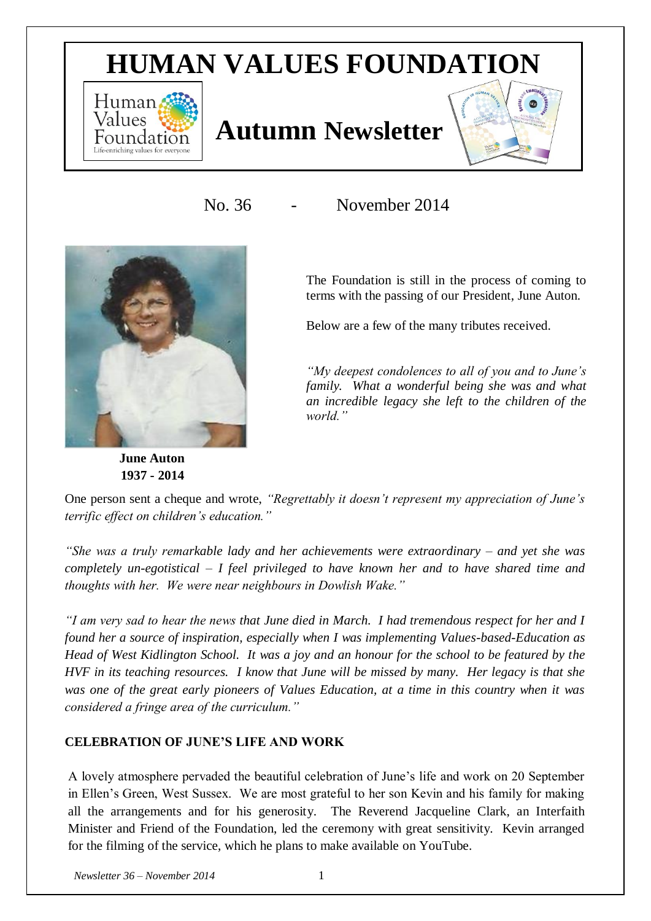# **HUMAN VALUES FOUNDATION**



## **Autumn Newsletter**



No. 36 - November 2014



 **June Auton 1937 - 2014** The Foundation is still in the process of coming to terms with the passing of our President, June Auton.

Below are a few of the many tributes received.

*"My deepest condolences to all of you and to June's family. What a wonderful being she was and what an incredible legacy she left to the children of the world."*

One person sent a cheque and wrote, *"Regrettably it doesn't represent my appreciation of June's terrific effect on children's education."*

*"She was a truly remarkable lady and her achievements were extraordinary – and yet she was completely un-egotistical – I feel privileged to have known her and to have shared time and thoughts with her. We were near neighbours in Dowlish Wake."*

*"I am very sad to hear the news that June died in March. I had tremendous respect for her and I found her a source of inspiration, especially when I was implementing Values-based-Education as Head of West Kidlington School. It was a joy and an honour for the school to be featured by the HVF in its teaching resources. I know that June will be missed by many. Her legacy is that she was one of the great early pioneers of Values Education, at a time in this country when it was considered a fringe area of the curriculum."*

## **CELEBRATION OF JUNE'S LIFE AND WORK**

A lovely atmosphere pervaded the beautiful celebration of June's life and work on 20 September in Ellen's Green, West Sussex. We are most grateful to her son Kevin and his family for making all the arrangements and for his generosity. The Reverend Jacqueline Clark, an Interfaith Minister and Friend of the Foundation, led the ceremony with great sensitivity. Kevin arranged for the filming of the service, which he plans to make available on YouTube.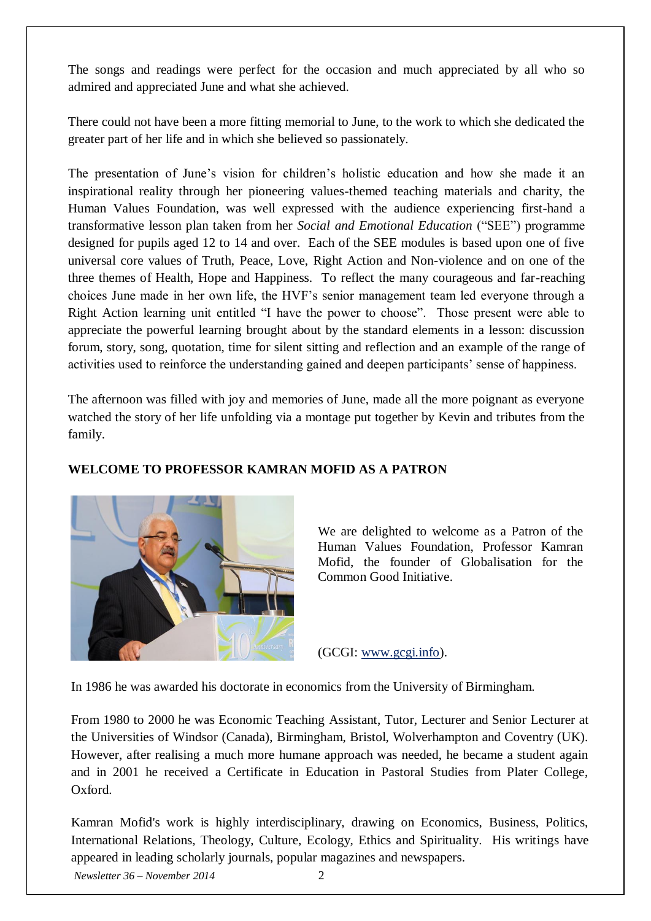The songs and readings were perfect for the occasion and much appreciated by all who so admired and appreciated June and what she achieved.

There could not have been a more fitting memorial to June, to the work to which she dedicated the greater part of her life and in which she believed so passionately.

The presentation of June's vision for children's holistic education and how she made it an inspirational reality through her pioneering values-themed teaching materials and charity, the Human Values Foundation, was well expressed with the audience experiencing first-hand a transformative lesson plan taken from her *Social and Emotional Education* ("SEE") programme designed for pupils aged 12 to 14 and over. Each of the SEE modules is based upon one of five universal core values of Truth, Peace, Love, Right Action and Non-violence and on one of the three themes of Health, Hope and Happiness. To reflect the many courageous and far-reaching choices June made in her own life, the HVF's senior management team led everyone through a Right Action learning unit entitled "I have the power to choose". Those present were able to appreciate the powerful learning brought about by the standard elements in a lesson: discussion forum, story, song, quotation, time for silent sitting and reflection and an example of the range of activities used to reinforce the understanding gained and deepen participants' sense of happiness.

The afternoon was filled with joy and memories of June, made all the more poignant as everyone watched the story of her life unfolding via a montage put together by Kevin and tributes from the family.



## **WELCOME TO PROFESSOR KAMRAN MOFID AS A PATRON**

We are delighted to welcome as a Patron of the Human Values Foundation, Professor Kamran Mofid, the founder of Globalisation for the Common Good Initiative.

(GCGI: [www.gcgi.info\)](http://www.gcgi.info/).

In 1986 he was awarded his doctorate in economics from the University of Birmingham.

From 1980 to 2000 he was Economic Teaching Assistant, Tutor, Lecturer and Senior Lecturer at the Universities of Windsor (Canada), Birmingham, Bristol, Wolverhampton and Coventry (UK). However, after realising a much more humane approach was needed, he became a student again and in 2001 he received a Certificate in Education in Pastoral Studies from Plater College, Oxford.

Kamran Mofid's work is highly interdisciplinary, drawing on Economics, Business, Politics, International Relations, Theology, Culture, Ecology, Ethics and Spirituality. His writings have appeared in leading scholarly journals, popular magazines and newspapers.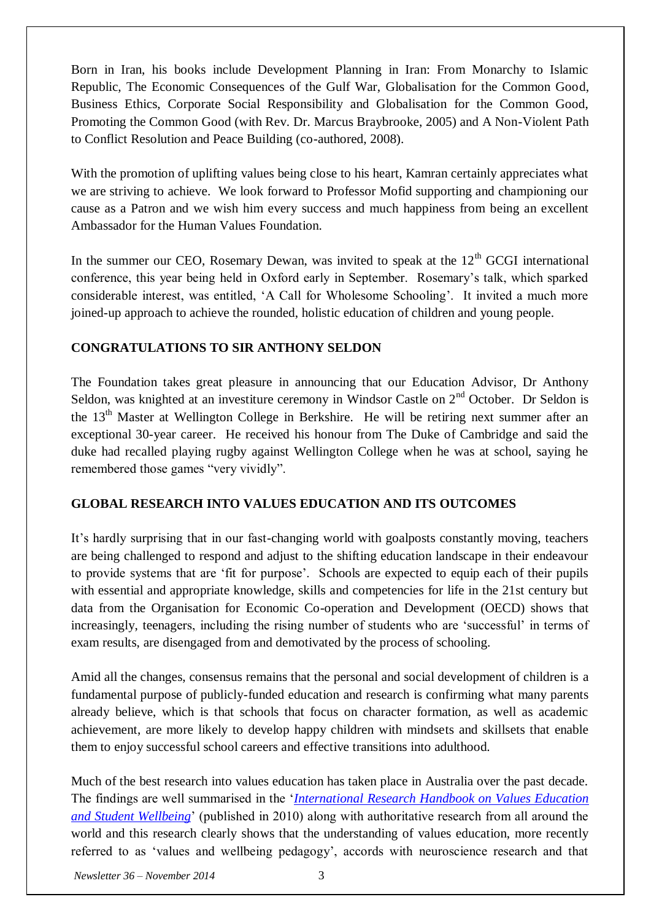Born in Iran, his books include Development Planning in Iran: From Monarchy to Islamic Republic, The Economic Consequences of the Gulf War, Globalisation for the Common Good, Business Ethics, Corporate Social Responsibility and Globalisation for the Common Good, Promoting the Common Good (with Rev. Dr. Marcus Braybrooke, 2005) and A Non-Violent Path to Conflict Resolution and Peace Building (co-authored, 2008).

With the promotion of uplifting values being close to his heart, Kamran certainly appreciates what we are striving to achieve. We look forward to Professor Mofid supporting and championing our cause as a Patron and we wish him every success and much happiness from being an excellent Ambassador for the Human Values Foundation.

In the summer our CEO, Rosemary Dewan, was invited to speak at the  $12<sup>th</sup>$  GCGI international conference, this year being held in Oxford early in September. Rosemary's talk, which sparked considerable interest, was entitled, 'A Call for Wholesome Schooling'. It invited a much more joined-up approach to achieve the rounded, holistic education of children and young people.

## **CONGRATULATIONS TO SIR ANTHONY SELDON**

The Foundation takes great pleasure in announcing that our Education Advisor, Dr Anthony Seldon, was knighted at an investiture ceremony in Windsor Castle on  $2<sup>nd</sup>$  October. Dr Seldon is the  $13<sup>th</sup>$  Master at Wellington College in Berkshire. He will be retiring next summer after an exceptional 30-year career. He received his honour from The Duke of Cambridge and said the duke had recalled playing rugby against Wellington College when he was at school, saying he remembered those games "very vividly".

#### **GLOBAL RESEARCH INTO VALUES EDUCATION AND ITS OUTCOMES**

It's hardly surprising that in our fast-changing world with goalposts constantly moving, teachers are being challenged to respond and adjust to the shifting education landscape in their endeavour to provide systems that are 'fit for purpose'. Schools are expected to equip each of their pupils with essential and appropriate knowledge, skills and competencies for life in the 21st century but data from the Organisation for Economic Co-operation and Development (OECD) shows that increasingly, teenagers, including the rising number of students who are 'successful' in terms of exam results, are disengaged from and demotivated by the process of schooling.

Amid all the changes, consensus remains that the personal and social development of children is a fundamental purpose of publicly-funded education and research is confirming what many parents already believe, which is that schools that focus on character formation, as well as academic achievement, are more likely to develop happy children with mindsets and skillsets that enable them to enjoy successful school careers and effective transitions into adulthood.

Much of the best research into values education has taken place in Australia over the past decade. The findings are well summarised in the '*[International Research Handbook on Values Education](http://www.springer.com/psychology/book/978-90-481-8674-7)  [and Student Wellbeing](http://www.springer.com/psychology/book/978-90-481-8674-7)*' (published in 2010) along with authoritative research from all around the world and this research clearly shows that the understanding of values education, more recently referred to as 'values and wellbeing pedagogy', accords with neuroscience research and that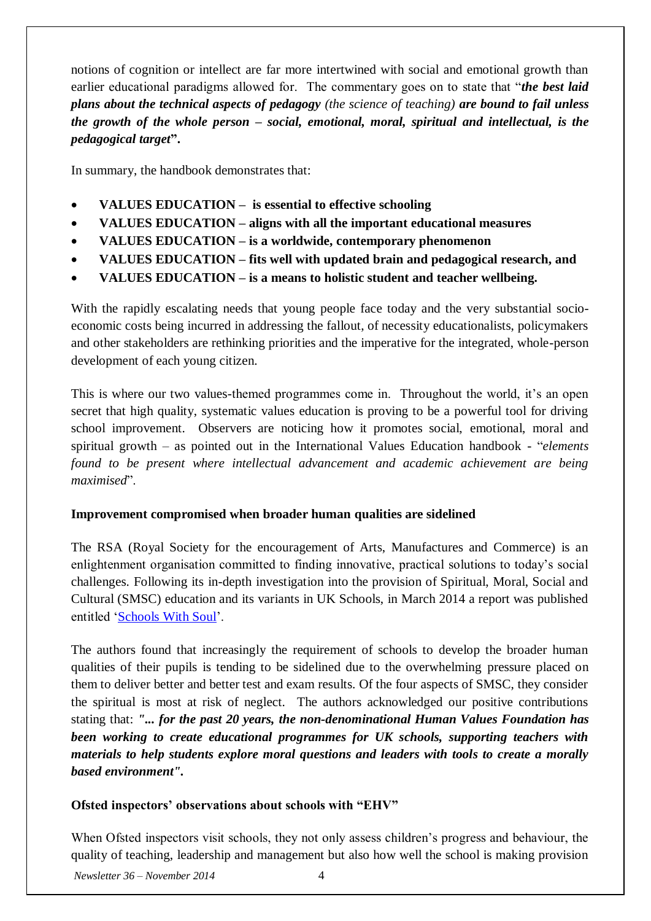notions of cognition or intellect are far more intertwined with social and emotional growth than earlier educational paradigms allowed for. The commentary goes on to state that "*the best laid plans about the technical aspects of pedagogy (the science of teaching) are bound to fail unless the growth of the whole person – social, emotional, moral, spiritual and intellectual, is the pedagogical target***".**

In summary, the handbook demonstrates that:

- **VALUES EDUCATION is essential to effective schooling**
- **VALUES EDUCATION – aligns with all the important educational measures**
- **VALUES EDUCATION – is a worldwide, contemporary phenomenon**
- **VALUES EDUCATION – fits well with updated brain and pedagogical research, and**
- **VALUES EDUCATION – is a means to holistic student and teacher wellbeing.**

With the rapidly escalating needs that young people face today and the very substantial socioeconomic costs being incurred in addressing the fallout, of necessity educationalists, policymakers and other stakeholders are rethinking priorities and the imperative for the integrated, whole-person development of each young citizen.

This is where our two values-themed programmes come in. Throughout the world, it's an open secret that high quality, systematic values education is proving to be a powerful tool for driving school improvement. Observers are noticing how it promotes social, emotional, moral and spiritual growth – as pointed out in the International Values Education handbook - "*elements found to be present where intellectual advancement and academic achievement are being maximised*".

#### **Improvement compromised when broader human qualities are sidelined**

The RSA (Royal Society for the encouragement of Arts, Manufactures and Commerce) is an enlightenment organisation committed to finding innovative, practical solutions to today's social challenges. Following its in-depth investigation into the provision of Spiritual, Moral, Social and Cultural (SMSC) education and its variants in UK Schools, in March 2014 a report was published entitled ['Schools With Soul'](http://www.thersa.org/action-research-centre/learning,-cognition-and-creativity/education/reports-and-events/reports/schools-with-soul).

The authors found that increasingly the requirement of schools to develop the broader human qualities of their pupils is tending to be sidelined due to the overwhelming pressure placed on them to deliver better and better test and exam results. Of the four aspects of SMSC, they consider the spiritual is most at risk of neglect. The authors acknowledged our positive contributions stating that: *"... for the past 20 years, the non-denominational Human Values Foundation has been working to create educational programmes for UK schools, supporting teachers with materials to help students explore moral questions and leaders with tools to create a morally based environment".*

#### **Ofsted inspectors' observations about schools with "EHV"**

When Ofsted inspectors visit schools, they not only assess children's progress and behaviour, the quality of teaching, leadership and management but also how well the school is making provision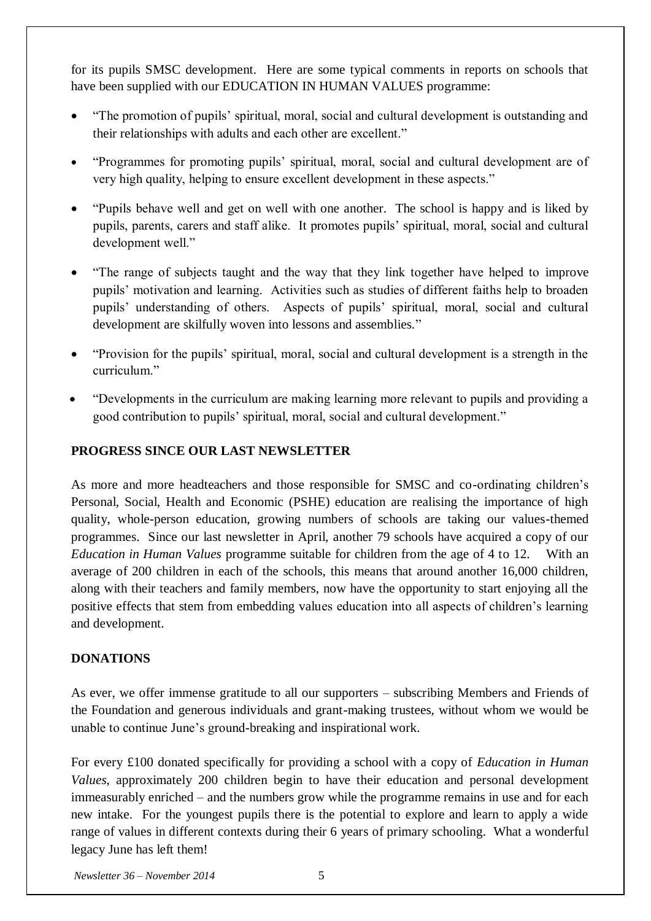for its pupils SMSC development. Here are some typical comments in reports on schools that have been supplied with our EDUCATION IN HUMAN VALUES programme:

- "The promotion of pupils' spiritual, moral, social and cultural development is outstanding and their relationships with adults and each other are excellent."
- "Programmes for promoting pupils' spiritual, moral, social and cultural development are of very high quality, helping to ensure excellent development in these aspects."
- "Pupils behave well and get on well with one another. The school is happy and is liked by pupils, parents, carers and staff alike. It promotes pupils' spiritual, moral, social and cultural development well."
- "The range of subjects taught and the way that they link together have helped to improve pupils' motivation and learning. Activities such as studies of different faiths help to broaden pupils' understanding of others. Aspects of pupils' spiritual, moral, social and cultural development are skilfully woven into lessons and assemblies."
- "Provision for the pupils' spiritual, moral, social and cultural development is a strength in the curriculum<sup>"</sup>
- "Developments in the curriculum are making learning more relevant to pupils and providing a good contribution to pupils' spiritual, moral, social and cultural development."

## **PROGRESS SINCE OUR LAST NEWSLETTER**

As more and more headteachers and those responsible for SMSC and co-ordinating children's Personal, Social, Health and Economic (PSHE) education are realising the importance of high quality, whole-person education, growing numbers of schools are taking our values-themed programmes. Since our last newsletter in April, another 79 schools have acquired a copy of our *Education in Human Values* programme suitable for children from the age of 4 to 12. With an average of 200 children in each of the schools, this means that around another 16,000 children, along with their teachers and family members, now have the opportunity to start enjoying all the positive effects that stem from embedding values education into all aspects of children's learning and development.

## **DONATIONS**

As ever, we offer immense gratitude to all our supporters – subscribing Members and Friends of the Foundation and generous individuals and grant-making trustees, without whom we would be unable to continue June's ground-breaking and inspirational work.

For every £100 donated specifically for providing a school with a copy of *Education in Human Values*, approximately 200 children begin to have their education and personal development immeasurably enriched – and the numbers grow while the programme remains in use and for each new intake. For the youngest pupils there is the potential to explore and learn to apply a wide range of values in different contexts during their 6 years of primary schooling. What a wonderful legacy June has left them!